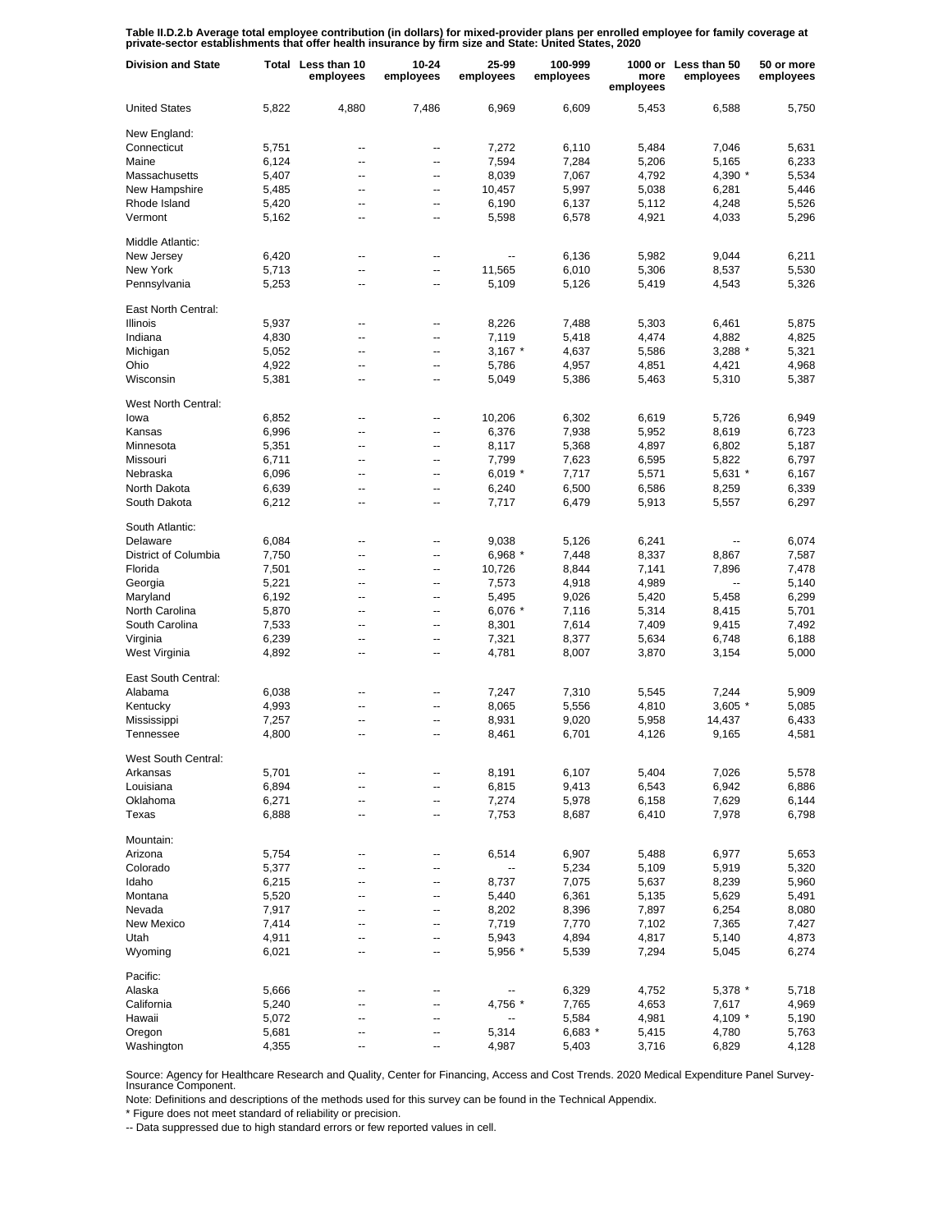Table II.D.2.b Average total employee contribution (in dollars) for mixed-provider plans per enrolled employee for family coverage at<br>private-sector establishments that offer health insurance by firm size and State: United

| <b>Division and State</b> |       | Total Less than 10<br>employees | $10 - 24$<br>employees | 25-99<br>employees | 100-999<br>employees | more<br>employees | 1000 or Less than 50<br>employees | 50 or more<br>employees |
|---------------------------|-------|---------------------------------|------------------------|--------------------|----------------------|-------------------|-----------------------------------|-------------------------|
| <b>United States</b>      | 5,822 | 4,880                           | 7,486                  | 6,969              | 6,609                | 5,453             | 6,588                             | 5,750                   |
| New England:              |       |                                 |                        |                    |                      |                   |                                   |                         |
| Connecticut               | 5,751 | --                              | --                     | 7,272              | 6,110                | 5,484             | 7,046                             | 5,631                   |
| Maine                     | 6,124 | --                              | --                     | 7,594              | 7,284                | 5,206             | 5,165                             | 6,233                   |
| Massachusetts             | 5,407 | --                              | --                     | 8,039              | 7,067                | 4,792             | 4,390 *                           | 5,534                   |
| New Hampshire             | 5,485 | --                              | --                     | 10,457             | 5,997                | 5,038             | 6,281                             | 5,446                   |
| Rhode Island              | 5,420 | --                              | --                     | 6,190              | 6,137                | 5,112             | 4,248                             | 5,526                   |
| Vermont                   | 5,162 | --                              | --                     | 5,598              | 6,578                | 4,921             | 4,033                             | 5,296                   |
| Middle Atlantic:          |       |                                 |                        |                    |                      |                   |                                   |                         |
| New Jersey                | 6,420 | --                              | --                     |                    | 6,136                | 5,982             | 9,044                             | 6,211                   |
| New York                  | 5,713 | --                              | --                     | 11,565             | 6,010                | 5,306             | 8,537                             | 5,530                   |
| Pennsylvania              | 5,253 | --                              | --                     | 5,109              | 5,126                | 5,419             | 4,543                             | 5,326                   |
| East North Central:       |       |                                 |                        |                    |                      |                   |                                   |                         |
| Illinois                  | 5,937 | ۰.                              | --                     | 8,226              | 7,488                | 5,303             | 6,461                             | 5,875                   |
| Indiana                   | 4,830 | ۰.                              | --                     | 7,119              | 5,418                | 4,474             | 4,882                             | 4,825                   |
| Michigan                  | 5,052 | --                              | --                     | $3,167$ *          | 4,637                | 5,586             | 3,288 *                           | 5,321                   |
| Ohio                      | 4,922 | ۰.                              | ⊷                      | 5,786              | 4,957                | 4,851             | 4,421                             | 4,968                   |
| Wisconsin                 | 5,381 | ۵.                              | --                     | 5,049              | 5,386                | 5,463             | 5,310                             | 5,387                   |
| West North Central:       |       |                                 |                        |                    |                      |                   |                                   |                         |
| lowa                      |       |                                 | --                     |                    |                      |                   |                                   |                         |
|                           | 6,852 | --                              |                        | 10,206             | 6,302                | 6,619             | 5,726                             | 6,949                   |
| Kansas                    | 6,996 | --                              | --                     | 6,376              | 7,938                | 5,952             | 8,619                             | 6,723                   |
| Minnesota                 | 5,351 | --                              | --                     | 8,117              | 5,368                | 4,897             | 6,802                             | 5,187                   |
| Missouri                  | 6,711 | --                              | --                     | 7,799              | 7,623                | 6,595             | 5,822                             | 6,797                   |
| Nebraska                  | 6,096 | --                              | --                     | $6,019$ *          | 7,717                | 5,571             | $5,631$ *                         | 6,167                   |
| North Dakota              | 6,639 | --                              | --                     | 6,240              | 6,500                | 6,586             | 8,259                             | 6,339                   |
| South Dakota              | 6,212 | --                              | --                     | 7,717              | 6,479                | 5,913             | 5,557                             | 6,297                   |
| South Atlantic:           |       |                                 |                        |                    |                      |                   |                                   |                         |
| Delaware                  | 6,084 | --                              | --                     | 9,038              | 5,126                | 6,241             | $\overline{\phantom{a}}$          | 6,074                   |
| District of Columbia      | 7,750 | --                              | --                     | 6,968 *            | 7,448                | 8,337             | 8,867                             | 7,587                   |
| Florida                   | 7,501 | --                              | --                     | 10,726             | 8,844                | 7,141             | 7,896                             | 7,478                   |
| Georgia                   | 5,221 | --                              | --                     | 7,573              | 4,918                | 4,989             | --                                | 5,140                   |
| Maryland                  | 6,192 | --                              | --                     | 5,495              | 9,026                | 5,420             | 5,458                             | 6,299                   |
| North Carolina            | 5,870 | --                              | --                     | 6,076 *            | 7,116                | 5,314             | 8,415                             | 5,701                   |
| South Carolina            | 7,533 | --                              | --                     | 8,301              | 7,614                | 7,409             | 9,415                             | 7,492                   |
| Virginia                  | 6,239 | --                              | --                     | 7,321              | 8,377                | 5,634             | 6,748                             | 6,188                   |
| West Virginia             | 4,892 | --                              | --                     | 4,781              | 8,007                | 3,870             | 3,154                             | 5,000                   |
| East South Central:       |       |                                 |                        |                    |                      |                   |                                   |                         |
| Alabama                   | 6,038 | --                              | --                     | 7,247              | 7,310                | 5,545             | 7,244                             | 5,909                   |
| Kentucky                  | 4,993 | ۵.                              | --                     | 8,065              | 5,556                | 4,810             | $3,605$ *                         | 5,085                   |
| Mississippi               | 7,257 | --                              | --                     | 8,931              | 9,020                | 5,958             | 14,437                            | 6,433                   |
| Tennessee                 | 4,800 | ۵.                              | --                     | 8,461              | 6,701                | 4,126             | 9,165                             | 4,581                   |
| West South Central:       |       |                                 |                        |                    |                      |                   |                                   |                         |
| Arkansas                  | 5,701 |                                 |                        | 8,191              | 6,107                | 5,404             | 7,026                             | 5,578                   |
| Louisiana                 | 6,894 | --                              | --                     | 6,815              | 9,413                | 6,543             | 6,942                             | 6,886                   |
| Oklahoma                  | 6,271 |                                 | --                     | 7,274              | 5,978                | 6,158             | 7,629                             | 6,144                   |
| Texas                     | 6,888 | --                              | --                     | 7,753              | 8,687                | 6,410             | 7,978                             | 6,798                   |
| Mountain:                 |       |                                 |                        |                    |                      |                   |                                   |                         |
| Arizona                   | 5,754 | ۰.                              | --                     | 6,514              | 6,907                | 5,488             | 6,977                             | 5,653                   |
| Colorado                  | 5,377 | --                              | --                     | --                 | 5,234                | 5,109             | 5,919                             | 5,320                   |
| Idaho                     | 6,215 | --                              | --                     | 8,737              | 7,075                | 5,637             | 8,239                             | 5,960                   |
| Montana                   | 5,520 | --                              | --                     | 5,440              | 6,361                | 5,135             | 5,629                             | 5,491                   |
| Nevada                    | 7,917 | --                              | --                     | 8,202              | 8,396                | 7,897             | 6,254                             | 8,080                   |
| <b>New Mexico</b>         | 7,414 | --                              | --                     | 7,719              | 7,770                | 7,102             | 7,365                             | 7,427                   |
| Utah                      | 4,911 | --                              | --                     | 5,943              | 4,894                | 4,817             | 5,140                             | 4,873                   |
| Wyoming                   | 6,021 | --                              | --                     | 5,956 *            | 5,539                | 7,294             | 5,045                             | 6,274                   |
| Pacific:                  |       |                                 |                        |                    |                      |                   |                                   |                         |
| Alaska                    | 5,666 | --                              |                        |                    | 6,329                | 4,752             | 5,378 *                           | 5,718                   |
| California                | 5,240 | ۵.                              | --                     | 4,756 *            | 7,765                | 4,653             | 7,617                             | 4,969                   |
| Hawaii                    | 5,072 | --                              | --                     |                    | 5,584                | 4,981             | 4,109 *                           | 5,190                   |
| Oregon                    | 5,681 | ۵.                              | --                     | 5,314              | 6,683 *              | 5,415             | 4,780                             | 5,763                   |
| Washington                | 4,355 |                                 |                        | 4,987              | 5,403                | 3,716             | 6,829                             | 4,128                   |

Source: Agency for Healthcare Research and Quality, Center for Financing, Access and Cost Trends. 2020 Medical Expenditure Panel Survey-Insurance Component.

Note: Definitions and descriptions of the methods used for this survey can be found in the Technical Appendix.

\* Figure does not meet standard of reliability or precision.

-- Data suppressed due to high standard errors or few reported values in cell.